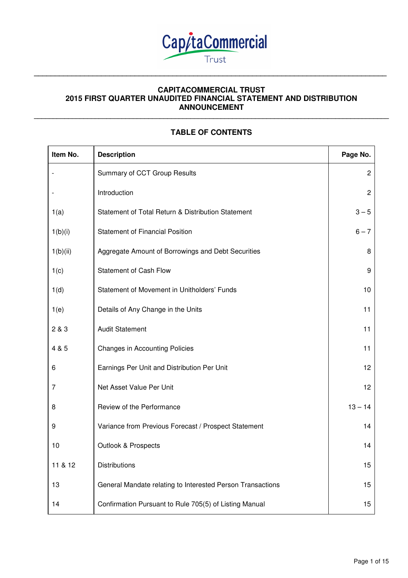

## **CAPITACOMMERCIAL TRUST 2015 FIRST QUARTER UNAUDITED FINANCIAL STATEMENT AND DISTRIBUTION ANNOUNCEMENT \_\_\_\_\_\_\_\_\_\_\_\_\_\_\_\_\_\_\_\_\_\_\_\_\_\_\_\_\_\_\_\_\_\_\_\_\_\_\_\_\_\_\_\_\_\_\_\_\_\_\_\_\_\_\_\_\_\_\_\_\_\_\_\_\_\_\_\_\_\_\_\_\_\_\_\_\_\_\_\_\_\_\_\_\_\_\_\_\_\_\_\_\_**

**\_\_\_\_\_\_\_\_\_\_\_\_\_\_\_\_\_\_\_\_\_\_\_\_\_\_\_\_\_\_\_\_\_\_\_\_\_\_\_\_\_\_\_\_\_\_\_\_\_\_\_\_\_\_\_\_\_\_\_\_\_\_\_\_\_\_\_\_\_\_\_\_\_\_\_\_\_\_\_\_\_\_\_\_** 

# **TABLE OF CONTENTS**

| Item No. | <b>Description</b>                                         | Page No.       |
|----------|------------------------------------------------------------|----------------|
|          | Summary of CCT Group Results                               | $\overline{c}$ |
|          | Introduction                                               | $\overline{2}$ |
| 1(a)     | Statement of Total Return & Distribution Statement         | $3 - 5$        |
| 1(b)(i)  | <b>Statement of Financial Position</b>                     | $6 - 7$        |
| 1(b)(ii) | Aggregate Amount of Borrowings and Debt Securities         | 8              |
| 1(c)     | <b>Statement of Cash Flow</b>                              | 9              |
| 1(d)     | Statement of Movement in Unitholders' Funds                | 10             |
| 1(e)     | Details of Any Change in the Units                         | 11             |
| 2 & 3    | <b>Audit Statement</b>                                     | 11             |
| 4 & 5    | <b>Changes in Accounting Policies</b>                      | 11             |
| 6        | Earnings Per Unit and Distribution Per Unit                | 12             |
| 7        | Net Asset Value Per Unit                                   | 12             |
| 8        | Review of the Performance                                  | $13 - 14$      |
| 9        | Variance from Previous Forecast / Prospect Statement       | 14             |
| 10       | Outlook & Prospects                                        | 14             |
| 11 & 12  | Distributions                                              | 15             |
| 13       | General Mandate relating to Interested Person Transactions | 15             |
| 14       | Confirmation Pursuant to Rule 705(5) of Listing Manual     | 15             |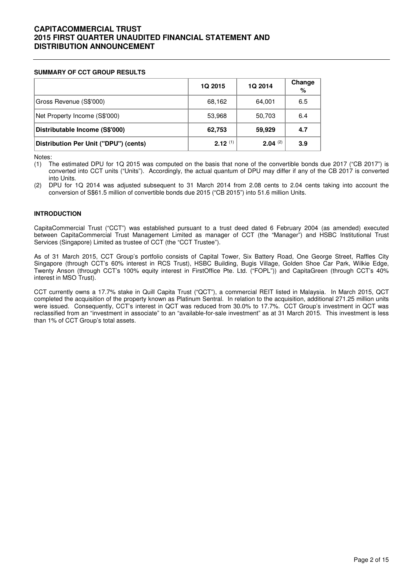#### **SUMMARY OF CCT GROUP RESULTS**

|                                       | <b>1Q 2015</b> | 1Q 2014      | Change<br>% |
|---------------------------------------|----------------|--------------|-------------|
| Gross Revenue (S\$'000)               | 68,162         | 64,001       | 6.5         |
| Net Property Income (S\$'000)         | 53,968         | 50,703       | 6.4         |
| Distributable Income (S\$'000)        | 62,753         | 59,929       | 4.7         |
| Distribution Per Unit ("DPU") (cents) | $2.12^{(1)}$   | $2.04^{(2)}$ | 3.9         |

Notes:

(1) The estimated DPU for 1Q 2015 was computed on the basis that none of the convertible bonds due 2017 ("CB 2017") is converted into CCT units ("Units"). Accordingly, the actual quantum of DPU may differ if any of the CB 2017 is converted into Units.

(2) DPU for 1Q 2014 was adjusted subsequent to 31 March 2014 from 2.08 cents to 2.04 cents taking into account the conversion of S\$61.5 million of convertible bonds due 2015 ("CB 2015") into 51.6 million Units.

#### **INTRODUCTION**

CapitaCommercial Trust ("CCT") was established pursuant to a trust deed dated 6 February 2004 (as amended) executed between CapitaCommercial Trust Management Limited as manager of CCT (the "Manager") and HSBC Institutional Trust Services (Singapore) Limited as trustee of CCT (the "CCT Trustee").

As of 31 March 2015, CCT Group's portfolio consists of Capital Tower, Six Battery Road, One George Street, Raffles City Singapore (through CCT's 60% interest in RCS Trust), HSBC Building, Bugis Village, Golden Shoe Car Park, Wilkie Edge, Twenty Anson (through CCT's 100% equity interest in FirstOffice Pte. Ltd. ("FOPL")) and CapitaGreen (through CCT's 40% interest in MSO Trust).

CCT currently owns a 17.7% stake in Quill Capita Trust ("QCT"), a commercial REIT listed in Malaysia. In March 2015, QCT completed the acquisition of the property known as Platinum Sentral. In relation to the acquisition, additional 271.25 million units were issued. Consequently, CCT's interest in QCT was reduced from 30.0% to 17.7%. CCT Group's investment in QCT was reclassified from an "investment in associate" to an "available-for-sale investment" as at 31 March 2015. This investment is less than 1% of CCT Group's total assets.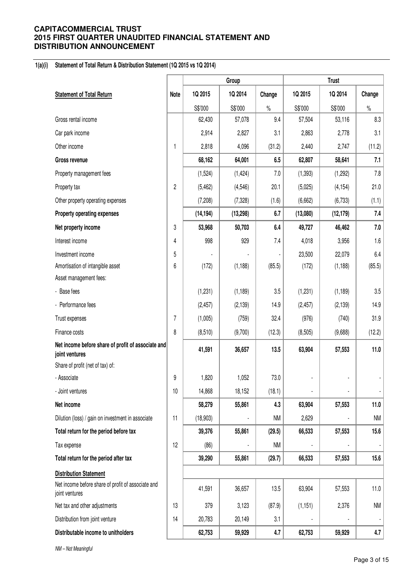#### **1(a)(i) Statement of Total Return & Distribution Statement (1Q 2015 vs 1Q 2014)**

|                                                                      |                         |           | Group     |           |          | <b>Trust</b> |           |
|----------------------------------------------------------------------|-------------------------|-----------|-----------|-----------|----------|--------------|-----------|
| <b>Statement of Total Return</b>                                     | <b>Note</b>             | 1Q 2015   | 1Q 2014   | Change    | 1Q 2015  | 1Q 2014      | Change    |
|                                                                      |                         | S\$'000   | S\$'000   | $\%$      | S\$'000  | S\$'000      | $\%$      |
| Gross rental income                                                  |                         | 62,430    | 57,078    | 9.4       | 57,504   | 53,116       | 8.3       |
| Car park income                                                      |                         | 2,914     | 2,827     | 3.1       | 2,863    | 2,778        | 3.1       |
| Other income                                                         | 1                       | 2,818     | 4,096     | (31.2)    | 2,440    | 2,747        | (11.2)    |
| <b>Gross revenue</b>                                                 |                         | 68,162    | 64,001    | 6.5       | 62,807   | 58,641       | 7.1       |
| Property management fees                                             |                         | (1,524)   | (1, 424)  | 7.0       | (1, 393) | (1, 292)     | 7.8       |
| Property tax                                                         | $\overline{\mathbf{c}}$ | (5, 462)  | (4, 546)  | 20.1      | (5,025)  | (4, 154)     | 21.0      |
| Other property operating expenses                                    |                         | (7,208)   | (7, 328)  | (1.6)     | (6,662)  | (6, 733)     | (1.1)     |
| Property operating expenses                                          |                         | (14, 194) | (13, 298) | 6.7       | (13,080) | (12, 179)    | 7.4       |
| Net property income                                                  | 3                       | 53,968    | 50,703    | 6.4       | 49,727   | 46,462       | $7.0$     |
| Interest income                                                      | 4                       | 998       | 929       | 7.4       | 4,018    | 3,956        | 1.6       |
| Investment income                                                    | 5                       |           |           |           | 23,500   | 22,079       | 6.4       |
| Amortisation of intangible asset                                     | 6                       | (172)     | (1, 188)  | (85.5)    | (172)    | (1, 188)     | (85.5)    |
| Asset management fees:                                               |                         |           |           |           |          |              |           |
| - Base fees                                                          |                         | (1,231)   | (1, 189)  | 3.5       | (1, 231) | (1, 189)     | 3.5       |
| - Performance fees                                                   |                         | (2, 457)  | (2, 139)  | 14.9      | (2, 457) | (2, 139)     | 14.9      |
| Trust expenses                                                       | $\overline{7}$          | (1,005)   | (759)     | 32.4      | (976)    | (740)        | 31.9      |
| Finance costs                                                        | 8                       | (8,510)   | (9,700)   | (12.3)    | (8, 505) | (9,688)      | (12.2)    |
| Net income before share of profit of associate and<br>joint ventures |                         | 41,591    | 36,657    | 13.5      | 63,904   | 57,553       | 11.0      |
| Share of profit (net of tax) of:                                     |                         |           |           |           |          |              |           |
| - Associate                                                          | 9                       | 1,820     | 1,052     | 73.0      |          |              |           |
| - Joint ventures                                                     | 10                      | 14,868    | 18,152    | (18.1)    |          |              |           |
| Net income                                                           |                         | 58,279    | 55,861    | 4.3       | 63,904   | 57,553       | 11.0      |
| Dilution (loss) / gain on investment in associate                    | 11                      | (18,903)  |           | <b>NM</b> | 2,629    |              | <b>NM</b> |
| Total return for the period before tax                               |                         | 39,376    | 55,861    | (29.5)    | 66,533   | 57,553       | 15.6      |
| Tax expense                                                          | 12                      | (86)      |           | <b>NM</b> |          |              |           |
| Total return for the period after tax                                |                         | 39,290    | 55,861    | (29.7)    | 66,533   | 57,553       | 15.6      |
| <b>Distribution Statement</b>                                        |                         |           |           |           |          |              |           |
| Net income before share of profit of associate and<br>joint ventures |                         | 41,591    | 36,657    | 13.5      | 63,904   | 57,553       | 11.0      |
| Net tax and other adjustments                                        | 13                      | 379       | 3,123     | (87.9)    | (1, 151) | 2,376        | <b>NM</b> |
| Distribution from joint venture                                      | 14                      | 20,783    | 20,149    | 3.1       |          |              |           |
| Distributable income to unitholders                                  |                         | 62,753    | 59,929    | 4.7       | 62,753   | 59,929       | 4.7       |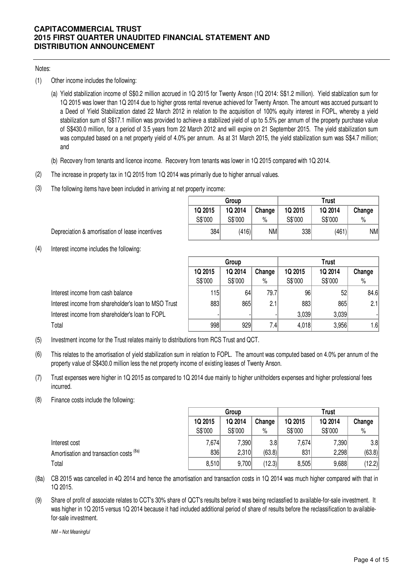### Notes:

- (1) Other income includes the following:
	- (a) Yield stabilization income of S\$0.2 million accrued in 1Q 2015 for Twenty Anson (1Q 2014: S\$1.2 million). Yield stablization sum for 1Q 2015 was lower than 1Q 2014 due to higher gross rental revenue achieved for Twenty Anson. The amount was accrued pursuant to a Deed of Yield Stabilization dated 22 March 2012 in relation to the acquisition of 100% equity interest in FOPL, whereby a yield stabilization sum of S\$17.1 million was provided to achieve a stabilized yield of up to 5.5% per annum of the property purchase value of S\$430.0 million, for a period of 3.5 years from 22 March 2012 and will expire on 21 September 2015. The yield stabilization sum was computed based on a net property yield of 4.0% per annum. As at 31 March 2015, the yield stabilization sum was S\$4.7 million; and
	- (b) Recovery from tenants and licence income. Recovery from tenants was lower in 1Q 2015 compared with 1Q 2014.
- (2) The increase in property tax in 1Q 2015 from 1Q 2014 was primarily due to higher annual values.
- (3) The following items have been included in arriving at net property income:

|         | Group   |        | Trust   |         |        |  |  |
|---------|---------|--------|---------|---------|--------|--|--|
| 1Q 2015 | 1Q 2014 | Change | 1Q 2015 | 1Q 2014 | Change |  |  |
| S\$'000 | S\$'000 | %      | S\$'000 | S\$'000 | $\%$   |  |  |
| 384     | (416)   | ΝM     | 338     | (461)   | NM     |  |  |

Depreciation & amortisation of lease incentives

(4) Interest income includes the following:

|                                                      | Group              |                    |                | <b>Trust</b>       |                    |                |  |
|------------------------------------------------------|--------------------|--------------------|----------------|--------------------|--------------------|----------------|--|
|                                                      | 1Q 2015<br>S\$'000 | 1Q 2014<br>S\$'000 | Change<br>$\%$ | 1Q 2015<br>S\$'000 | 1Q 2014<br>S\$'000 | Change<br>$\%$ |  |
| Interest income from cash balance                    | 115                | 64                 | 79.7           | 96                 | 52                 | 84.6           |  |
| Interest income from shareholder's loan to MSO Trust | 883                | 865                | 2.1            | 883                | 865                | 2.1            |  |
| Interest income from shareholder's loan to FOPL      |                    |                    |                | 3,039              | 3,039              |                |  |
| Total                                                | 998                | 929                | 7.4            | 4,018              | 3,956              | 1.6            |  |

- (5) Investment income for the Trust relates mainly to distributions from RCS Trust and QCT.
- (6) This relates to the amortisation of yield stabilization sum in relation to FOPL. The amount was computed based on 4.0% per annum of the property value of S\$430.0 million less the net property income of existing leases of Twenty Anson.
- (7) Trust expenses were higher in 1Q 2015 as compared to 1Q 2014 due mainly to higher unitholders expenses and higher professional fees incurred.
- (8) Finance costs include the following:

|                                         | Group   |         |        | <b>Trust</b> |         |        |  |
|-----------------------------------------|---------|---------|--------|--------------|---------|--------|--|
|                                         | 1Q 2015 | 1Q 2014 | Change | 1Q 2015      | 1Q 2014 | Change |  |
|                                         | S\$'000 | S\$'000 | $\%$   | S\$'000      | S\$'000 | $\%$   |  |
| Interest cost                           | 7,674   | 7.390   | 3.8    | 7.674        | 7,390   | 3.8    |  |
| Amortisation and transaction costs (8a) | 836     | 2,310   | (63.8) | 831          | 2,298   | (63.8) |  |
| Total                                   | 8,510   | 9,700   | (12.3) | 8,505        | 9,688   | (12.2) |  |

(8a) CB 2015 was cancelled in 4Q 2014 and hence the amortisation and transaction costs in 1Q 2014 was much higher compared with that in 1Q 2015.

(9) Share of profit of associate relates to CCT's 30% share of QCT's results before it was being reclassfied to available-for-sale investment. It was higher in 1Q 2015 versus 1Q 2014 because it had included additional period of share of results before the reclassification to availablefor-sale investment.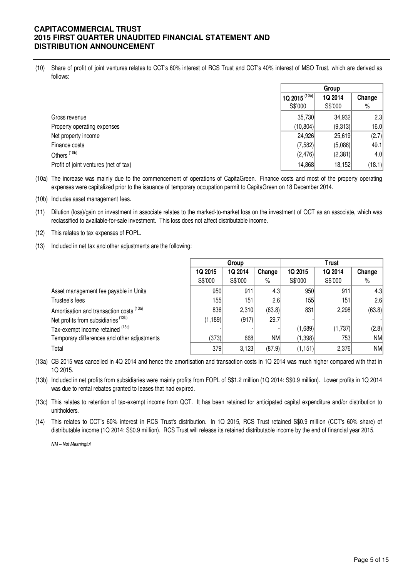(10) Share of profit of joint ventures relates to CCT's 60% interest of RCS Trust and CCT's 40% interest of MSO Trust, which are derived as follows:

|                                       | Group                         |         |        |
|---------------------------------------|-------------------------------|---------|--------|
|                                       | $\frac{1}{2}$ 1Q 2015 $(10a)$ | 1Q 2014 | Change |
|                                       | S\$'000                       | S\$'000 | %      |
| Gross revenue                         | 35,730                        | 34,932  | 2.3    |
| Property operating expenses           | (10, 804)                     | (9,313) | 16.0   |
| Net property income                   | 24,926                        | 25,619  | (2.7)  |
| Finance costs                         | (7,582)                       | (5,086) | 49.1   |
| Others <sup>(10b)</sup>               | (2,476)                       | (2,381) | 4.0    |
| Profit of joint ventures (net of tax) | 14,868                        | 18,152  | (18.1) |

(10a) The increase was mainly due to the commencement of operations of CapitaGreen. Finance costs and most of the property operating expenses were capitalized prior to the issuance of temporary occupation permit to CapitaGreen on 18 December 2014.

- (10b) Includes asset management fees.
- (11) Dilution (loss)/gain on investment in associate relates to the marked-to-market loss on the investment of QCT as an associate, which was reclassified to available-for-sale investment. This loss does not affect distributable income.
- (12) This relates to tax expenses of FOPL.
- (13) Included in net tax and other adjustments are the following:

|                                                | Group          |         |                  | <b>Trust</b> |         |                  |
|------------------------------------------------|----------------|---------|------------------|--------------|---------|------------------|
|                                                | <b>1Q 2015</b> | 1Q 2014 | Change           | 1Q 2015      | 1Q 2014 | Change           |
|                                                | S\$'000        | S\$'000 | $\%$             | S\$'000      | S\$'000 | %                |
| Asset management fee payable in Units          | 950            | 911     | 4.3              | 950          | 911     | 4.3 <sub>l</sub> |
| Trustee's fees                                 | 155            | 151     | 2.6 <sub>1</sub> | 155          | 151     | 2.6 <sub>l</sub> |
| Amortisation and transaction costs (13a)       | 836            | 2,310   | (63.8)           | 831          | 2,298   | (63.8)           |
| Net profits from subsidiaries <sup>(13b)</sup> | (1, 189)       | (917)   | 29.7             |              |         |                  |
| Tax-exempt income retained (13c)               |                |         |                  | (1,689)      | (1,737) | (2.8)            |
| Temporary differences and other adjustments    | (373)          | 668     | NM               | (1,398)      | 753     | NMI              |
| Total                                          | 379            | 3,123   | (87.9)           | (1, 151)     | 2,376   | NM               |

(13a) CB 2015 was cancelled in 4Q 2014 and hence the amortisation and transaction costs in 1Q 2014 was much higher compared with that in 1Q 2015.

(13b) Included in net profits from subsidiaries were mainly profits from FOPL of S\$1.2 million (1Q 2014: S\$0.9 million). Lower profits in 1Q 2014 was due to rental rebates granted to leases that had expired.

(13c) This relates to retention of tax-exempt income from QCT. It has been retained for anticipated capital expenditure and/or distribution to unitholders.

(14) This relates to CCT's 60% interest in RCS Trust's distribution. In 1Q 2015, RCS Trust retained S\$0.9 million (CCT's 60% share) of distributable income (1Q 2014: S\$0.9 million). RCS Trust will release its retained distributable income by the end of financial year 2015.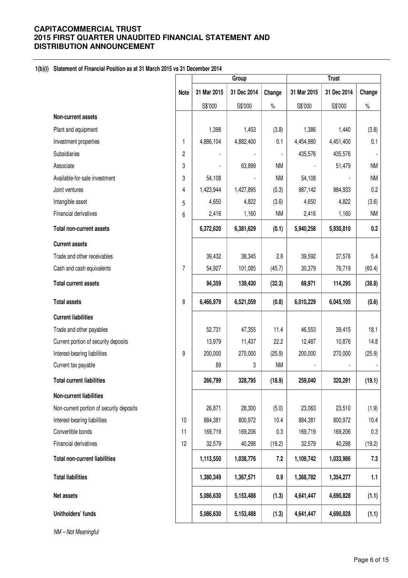### **1(b)(i) Statement of Financial Position as at 31 March 2015 vs 31 December 2014**

|                                          |                | Group       |             |           |             |             |           |
|------------------------------------------|----------------|-------------|-------------|-----------|-------------|-------------|-----------|
|                                          | <b>Note</b>    | 31 Mar 2015 | 31 Dec 2014 | Change    | 31 Mar 2015 | 31 Dec 2014 | Change    |
|                                          |                | S\$'000     | S\$'000     | $\%$      | S\$'000     | S\$'000     | $\%$      |
| Non-current assets                       |                |             |             |           |             |             |           |
| Plant and equipment                      |                | 1,398       | 1,453       | (3.8)     | 1,386       | 1,440       | (3.8)     |
| Investment properties                    | 1              | 4,886,104   | 4,882,400   | 0.1       | 4,454,980   | 4,451,400   | 0.1       |
| Subsidiaries                             | $\overline{c}$ |             |             |           | 435,576     | 435,576     |           |
| Associate                                | 3              |             | 63,899      | <b>NM</b> |             | 51,479      | <b>NM</b> |
| Available-for-sale investment            | 3              | 54,108      |             | <b>NM</b> | 54,108      |             | <b>NM</b> |
| Joint ventures                           | 4              | 1,423,944   | 1,427,895   | (0.3)     | 987,142     | 984,933     | 0.2       |
| Intangible asset                         | 5              | 4,650       | 4,822       | (3.6)     | 4,650       | 4,822       | (3.6)     |
| Financial derivatives                    | 6              | 2,416       | 1,160       | <b>NM</b> | 2,416       | 1,160       | <b>NM</b> |
| <b>Total non-current assets</b>          |                | 6,372,620   | 6,381,629   | (0.1)     | 5,940,258   | 5,930,810   | 0.2       |
| <b>Current assets</b>                    |                |             |             |           |             |             |           |
| Trade and other receivables              |                | 39,432      | 38,345      | 2.8       | 39,592      | 37,576      | 5.4       |
| Cash and cash equivalents                | 7              | 54,927      | 101,085     | (45.7)    | 30,379      | 76,719      | (60.4)    |
| <b>Total current assets</b>              |                | 94,359      | 139,430     | (32.3)    | 69,971      | 114,295     | (38.8)    |
| <b>Total assets</b>                      | 8              | 6,466,979   | 6,521,059   | (0.8)     | 6,010,229   | 6,045,105   | (0.6)     |
| <b>Current liabilities</b>               |                |             |             |           |             |             |           |
| Trade and other payables                 |                | 52,731      | 47,355      | 11.4      | 46,553      | 39,415      | 18.1      |
| Current portion of security deposits     |                | 13,979      | 11,437      | 22.2      | 12,487      | 10,876      | 14.8      |
| Interest-bearing liabilities             | 9              | 200,000     | 270,000     | (25.9)    | 200,000     | 270,000     | (25.9)    |
| Current tax payable                      |                | 89          | 3           | <b>NM</b> |             |             |           |
| <b>Total current liabilities</b>         |                | 266,799     | 328,795     | (18.9)    | 259,040     | 320,291     | (19.1)    |
| <b>Non-current liabilities</b>           |                |             |             |           |             |             |           |
| Non-current portion of security deposits |                | 26,871      | 28,300      | (5.0)     | 23,063      | 23,510      | (1.9)     |
| Interest-bearing liabilities             | 10             | 884,381     | 800,972     | 10.4      | 884,381     | 800,972     | 10.4      |
| Convertible bonds                        | 11             | 169,719     | 169,206     | 0.3       | 169,719     | 169,206     | 0.3       |
| Financial derivatives                    | 12             | 32,579      | 40,298      | (19.2)    | 32,579      | 40,298      | (19.2)    |
| <b>Total non-current liabilities</b>     |                | 1,113,550   | 1,038,776   | 7.2       | 1,109,742   | 1,033,986   | 7.3       |
| <b>Total liabilities</b>                 |                | 1,380,349   | 1,367,571   | 0.9       | 1,368,782   | 1,354,277   | 1.1       |
| Net assets                               |                | 5,086,630   | 5,153,488   | (1.3)     | 4,641,447   | 4,690,828   | (1.1)     |
| Unitholders' funds                       |                | 5,086,630   | 5,153,488   | (1.3)     | 4,641,447   | 4,690,828   | (1.1)     |
| NM - Not Meaningful                      |                |             |             |           |             |             |           |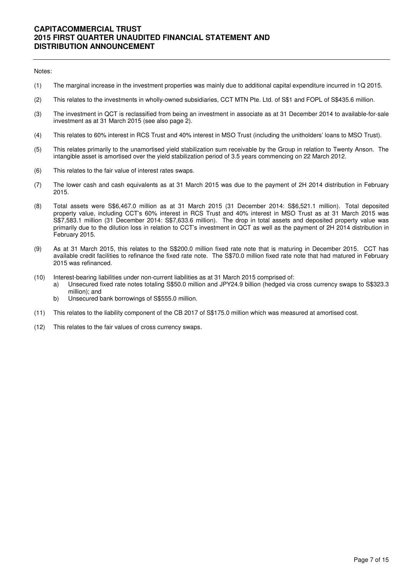#### Notes:

- (1) The marginal increase in the investment properties was mainly due to additional capital expenditure incurred in 1Q 2015.
- (2) This relates to the investments in wholly-owned subsidiaries, CCT MTN Pte. Ltd. of S\$1 and FOPL of S\$435.6 million.
- (3) The investment in QCT is reclassified from being an investment in associate as at 31 December 2014 to available-for-sale investment as at 31 March 2015 (see also page 2).
- (4) This relates to 60% interest in RCS Trust and 40% interest in MSO Trust (including the unitholders' loans to MSO Trust).
- (5) This relates primarily to the unamortised yield stabilization sum receivable by the Group in relation to Twenty Anson. The intangible asset is amortised over the yield stabilization period of 3.5 years commencing on 22 March 2012.
- (6) This relates to the fair value of interest rates swaps.
- (7) The lower cash and cash equivalents as at 31 March 2015 was due to the payment of 2H 2014 distribution in February 2015.
- (8) Total assets were S\$6,467.0 million as at 31 March 2015 (31 December 2014: S\$6,521.1 million). Total deposited property value, including CCT's 60% interest in RCS Trust and 40% interest in MSO Trust as at 31 March 2015 was S\$7,583.1 million (31 December 2014: S\$7,633.6 million). The drop in total assets and deposited property value was primarily due to the dilution loss in relation to CCT's investment in QCT as well as the payment of 2H 2014 distribution in February 2015.
- (9) As at 31 March 2015, this relates to the S\$200.0 million fixed rate note that is maturing in December 2015. CCT has available credit facilities to refinance the fixed rate note. The S\$70.0 million fixed rate note that had matured in February 2015 was refinanced.
- (10) Interest-bearing liabilities under non-current liabilities as at 31 March 2015 comprised of:
	- a) Unsecured fixed rate notes totaling S\$50.0 million and JPY24.9 billion (hedged via cross currency swaps to S\$323.3 million); and
		- b) Unsecured bank borrowings of S\$555.0 million.
- (11) This relates to the liability component of the CB 2017 of S\$175.0 million which was measured at amortised cost.
- (12) This relates to the fair values of cross currency swaps.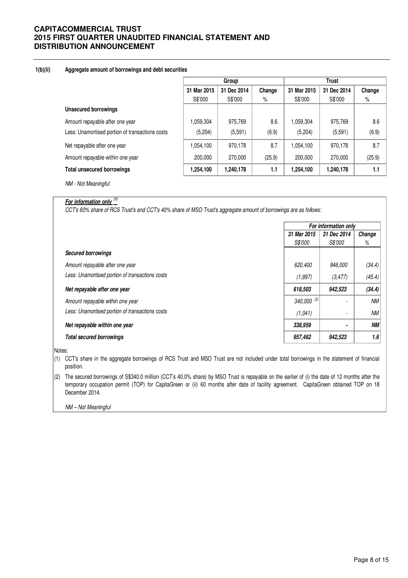#### **1(b)(ii) Aggregate amount of borrowings and debt securities**

|                                                 | Group       |             |        | <b>Trust</b> |             |        |  |
|-------------------------------------------------|-------------|-------------|--------|--------------|-------------|--------|--|
|                                                 | 31 Mar 2015 | 31 Dec 2014 | Change | 31 Mar 2015  | 31 Dec 2014 | Change |  |
|                                                 | S\$'000     | S\$'000     | %      | S\$'000      | S\$'000     | %      |  |
| <b>Unsecured borrowings</b>                     |             |             |        |              |             |        |  |
| Amount repayable after one year                 | 1,059,304   | 975,769     | 8.6    | 1,059,304    | 975,769     | 8.6    |  |
| Less: Unamortised portion of transactions costs | (5,204)     | (5,591)     | (6.9)  | (5,204)      | (5, 591)    | (6.9)  |  |
| Net repayable after one year                    | 1,054,100   | 970,178     | 8.7    | 1,054,100    | 970,178     | 8.7    |  |
| Amount repayable within one year                | 200,000     | 270,000     | (25.9) | 200,000      | 270,000     | (25.9) |  |
| <b>Total unsecured borrowings</b>               | 1,254,100   | 1,240,178   | 1.1    | 1,254,100    | 1,240,178   | 1.1    |  |

NM - Not Meaningful

# **For information only (1)**

CCT's 60% share of RCS Trust's and CCT's 40% share of MSO Trust's aggregate amount of borrowings are as follows:

|                                                 |                        | For information only |        |
|-------------------------------------------------|------------------------|----------------------|--------|
|                                                 | 31 Mar 2015            | 31 Dec 2014          | Change |
|                                                 | <i>S\$'000</i>         | <i>S\$'000</i>       | %      |
| <b>Secured borrowings</b>                       |                        |                      |        |
| Amount repayable after one year                 | 620,400                | 946,000              | (34.4) |
| Less: Unamortised portion of transactions costs | (1,897)                | (3, 477)             | (45.4) |
| Net repayable after one year                    | 618,503                | 942,523              | (34.4) |
| Amount repayable within one year                | 340,000 <sup>(2)</sup> |                      | ΝM     |
| Less: Unamortised portion of transactions costs | (1,041)                | ٠                    | ΝM     |
| Net repayable within one year                   | 338,959                | $\blacksquare$       | NΜ     |
| <b>Total secured borrowings</b>                 | 957,462                | 942,523              | 1.6    |

Notes:

(1) CCT's share in the aggregate borrowings of RCS Trust and MSO Trust are not included under total borrowings in the statement of financial position.

(2) The secured borrowings of S\$340.0 million (CCT's 40.0% share) by MSO Trust is repayable on the earlier of (i) the date of 12 months after the temporary occupation permit (TOP) for CapitaGreen or (ii) 60 months after date of facility agreement. CapitaGreen obtained TOP on 18 December 2014.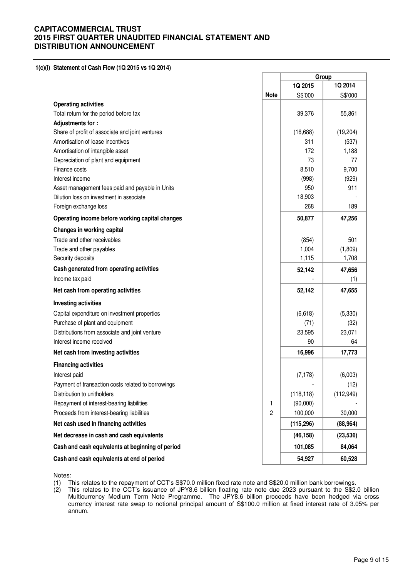#### **1(c)(i) Statement of Cash Flow (1Q 2015 vs 1Q 2014)**

|                                                    |             |            | Group      |
|----------------------------------------------------|-------------|------------|------------|
|                                                    |             | 1Q 2015    | 1Q 2014    |
|                                                    | <b>Note</b> | S\$'000    | S\$'000    |
| <b>Operating activities</b>                        |             |            |            |
| Total return for the period before tax             |             | 39,376     | 55,861     |
| Adjustments for:                                   |             |            |            |
| Share of profit of associate and joint ventures    |             | (16, 688)  | (19, 204)  |
| Amortisation of lease incentives                   |             | 311        | (537)      |
| Amortisation of intangible asset                   |             | 172        | 1,188      |
| Depreciation of plant and equipment                |             | 73         | 77         |
| Finance costs                                      |             | 8,510      | 9,700      |
| Interest income                                    |             | (998)      | (929)      |
| Asset management fees paid and payable in Units    |             | 950        | 911        |
| Dilution loss on investment in associate           |             | 18,903     |            |
| Foreign exchange loss                              |             | 268        | 189        |
| Operating income before working capital changes    |             | 50,877     | 47,256     |
| Changes in working capital                         |             |            |            |
| Trade and other receivables                        |             | (854)      | 501        |
| Trade and other payables                           |             | 1,004      | (1,809)    |
| Security deposits                                  |             | 1,115      | 1,708      |
| Cash generated from operating activities           |             | 52,142     | 47,656     |
| Income tax paid                                    |             |            | (1)        |
| Net cash from operating activities                 |             | 52,142     | 47,655     |
| <b>Investing activities</b>                        |             |            |            |
| Capital expenditure on investment properties       |             | (6,618)    | (5,330)    |
| Purchase of plant and equipment                    |             | (71)       | (32)       |
| Distributions from associate and joint venture     |             | 23,595     | 23,071     |
| Interest income received                           |             | 90         | 64         |
| Net cash from investing activities                 |             | 16,996     | 17,773     |
| <b>Financing activities</b>                        |             |            |            |
| Interest paid                                      |             | (7, 178)   | (6,003)    |
| Payment of transaction costs related to borrowings |             |            | (12)       |
| Distribution to unitholders                        |             | (118, 118) | (112, 949) |
| Repayment of interest-bearing liabilities          | 1           | (90,000)   |            |
| Proceeds from interest-bearing liabilities         | 2           | 100,000    | 30,000     |
| Net cash used in financing activities              |             | (115, 296) | (88, 964)  |
| Net decrease in cash and cash equivalents          |             | (46, 158)  | (23, 536)  |
| Cash and cash equivalents at beginning of period   |             | 101,085    | 84,064     |
| Cash and cash equivalents at end of period         |             | 54,927     | 60,528     |

Notes:

- (1) This relates to the repayment of CCT's S\$70.0 million fixed rate note and S\$20.0 million bank borrowings.
- (2) This relates to the CCT's issuance of JPY8.6 billion floating rate note due 2023 pursuant to the S\$2.0 billion Multicurrency Medium Term Note Programme. The JPY8.6 billion proceeds have been hedged via cross currency interest rate swap to notional principal amount of S\$100.0 million at fixed interest rate of 3.05% per annum.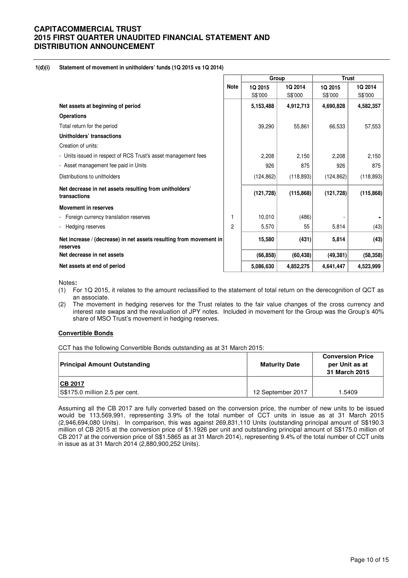#### **1(d)(i) Statement of movement in unitholders' funds (1Q 2015 vs 1Q 2014)**

|                                                                                |             | Group      |            | <b>Trust</b> |            |  |
|--------------------------------------------------------------------------------|-------------|------------|------------|--------------|------------|--|
|                                                                                | <b>Note</b> | 1Q 2015    | 1Q 2014    | 1Q 2015      | 1Q 2014    |  |
|                                                                                |             | S\$'000    | S\$'000    | S\$'000      | S\$'000    |  |
| Net assets at beginning of period                                              |             | 5,153,488  | 4,912,713  | 4,690,828    | 4,582,357  |  |
| <b>Operations</b>                                                              |             |            |            |              |            |  |
| Total return for the period                                                    |             | 39,290     | 55,861     | 66,533       | 57,553     |  |
| Unitholders' transactions                                                      |             |            |            |              |            |  |
| Creation of units:                                                             |             |            |            |              |            |  |
| - Units issued in respect of RCS Trust's asset management fees                 |             | 2,208      | 2,150      | 2,208        | 2,150      |  |
| - Asset management fee paid in Units                                           |             | 926        | 875        | 926          | 875        |  |
| Distributions to unitholders                                                   |             | (124, 862) | (118, 893) | (124, 862)   | (118, 893) |  |
| Net decrease in net assets resulting from unitholders'<br>transactions         |             | (121, 728) | (115, 868) | (121, 728)   | (115, 868) |  |
| <b>Movement in reserves</b>                                                    |             |            |            |              |            |  |
| Foreign currency translation reserves                                          | 1           | 10,010     | (486)      |              |            |  |
| Hedging reserves                                                               | 2           | 5,570      | 55         | 5,814        | (43)       |  |
| Net increase / (decrease) in net assets resulting from movement in<br>reserves |             | 15,580     | (431)      | 5,814        | (43)       |  |
| Net decrease in net assets                                                     |             | (66, 858)  | (60, 438)  | (49, 381)    | (58, 358)  |  |
| Net assets at end of period                                                    |             | 5,086,630  | 4,852,275  | 4,641,447    | 4,523,999  |  |

Notes**:** 

- (1) For 1Q 2015, it relates to the amount reclassified to the statement of total return on the derecognition of QCT as an associate.
- (2) The movement in hedging reserves for the Trust relates to the fair value changes of the cross currency and interest rate swaps and the revaluation of JPY notes. Included in movement for the Group was the Group's 40% share of MSO Trust's movement in hedging reserves.

### **Convertible Bonds**

CCT has the following Convertible Bonds outstanding as at 31 March 2015:

| <b>Principal Amount Outstanding</b> | <b>Maturity Date</b> | <b>Conversion Price</b><br>per Unit as at<br>31 March 2015 |  |
|-------------------------------------|----------------------|------------------------------------------------------------|--|
| <b>ICB 2017</b>                     |                      |                                                            |  |
| S\$175.0 million 2.5 per cent.      | 12 September 2017    | 1.5409                                                     |  |

Assuming all the CB 2017 are fully converted based on the conversion price, the number of new units to be issued would be 113,569,991, representing 3.9% of the total number of CCT units in issue as at 31 March 2015 (2,946,694,080 Units). In comparison, this was against 269,831,110 Units (outstanding principal amount of S\$190.3 million of CB 2015 at the conversion price of \$1.1926 per unit and outstanding principal amount of S\$175.0 million of CB 2017 at the conversion price of S\$1.5865 as at 31 March 2014), representing 9.4% of the total number of CCT units in issue as at 31 March 2014 (2,880,900,252 Units).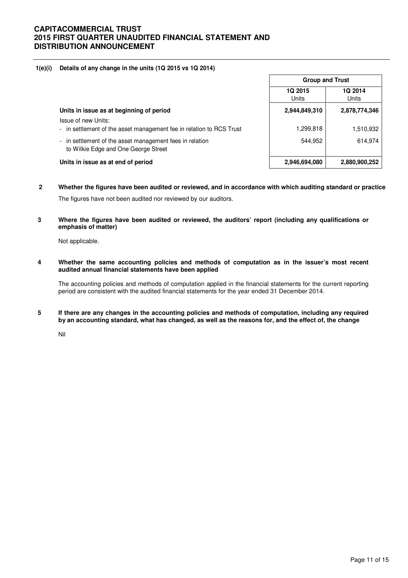### **1(e)(i) Details of any change in the units (1Q 2015 vs 1Q 2014)**

|                                                                                                  | <b>Group and Trust</b>  |                  |  |
|--------------------------------------------------------------------------------------------------|-------------------------|------------------|--|
|                                                                                                  | <b>1Q 2015</b><br>Units | 1Q 2014<br>Units |  |
| Units in issue as at beginning of period                                                         | 2,944,849,310           | 2,878,774,346    |  |
| Issue of new Units:<br>- in settlement of the asset management fee in relation to RCS Trust      | 1,299,818               | 1,510,932        |  |
| - in settlement of the asset management fees in relation<br>to Wilkie Edge and One George Street | 544.952                 | 614,974          |  |
| Units in issue as at end of period                                                               | 2,946,694,080           | 2,880,900,252    |  |

- **2 Whether the figures have been audited or reviewed, and in accordance with which auditing standard or practice**  The figures have not been audited nor reviewed by our auditors.
- **3 Where the figures have been audited or reviewed, the auditors' report (including any qualifications or emphasis of matter)**

Not applicable.

**4 Whether the same accounting policies and methods of computation as in the issuer's most recent audited annual financial statements have been applied** 

The accounting policies and methods of computation applied in the financial statements for the current reporting period are consistent with the audited financial statements for the year ended 31 December 2014.

**5 If there are any changes in the accounting policies and methods of computation, including any required by an accounting standard, what has changed, as well as the reasons for, and the effect of, the change**

Nil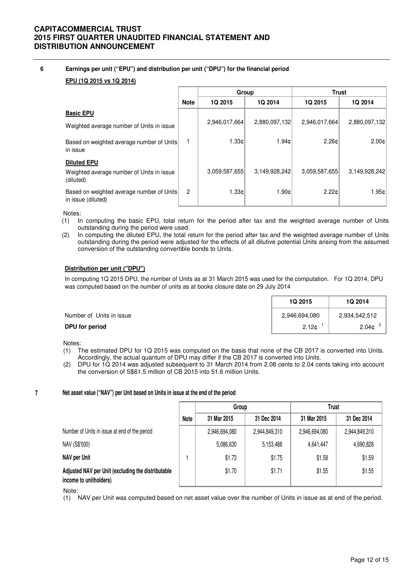### **6 Earnings per unit ("EPU") and distribution per unit ("DPU") for the financial period**

### **EPU (1Q 2015 vs 1Q 2014)**

|                                                                              |                | Group          |               |                | <b>Trust</b>    |  |
|------------------------------------------------------------------------------|----------------|----------------|---------------|----------------|-----------------|--|
|                                                                              | <b>Note</b>    | <b>1Q 2015</b> | 1Q 2014       | <b>1Q 2015</b> | <b>1Q 2014</b>  |  |
| <b>Basic EPU</b>                                                             |                |                |               |                |                 |  |
| Weighted average number of Units in issue                                    |                | 2,946,017,664  | 2,880,097,132 | 2,946,017,664  | 2,880,097,132   |  |
| Based on weighted average number of Units<br>in issue                        |                | 1.33c          | 1.94¢l        | 2.26c          | $2.00 \text{C}$ |  |
| <b>Diluted EPU</b><br>Weighted average number of Units in issue<br>(diluted) |                | 3,059,587,655  | 3,149,928,242 | 3,059,587,655  | 3,149,928,242   |  |
| Based on weighted average number of Units<br>in issue (diluted)              | $\overline{2}$ | 1.33c          | 1.90c         | 2.22c          | 1.95c           |  |

Notes:

- (1) In computing the basic EPU, total return for the period after tax and the weighted average number of Units outstanding during the period were used.
- (2) In computing the diluted EPU, the total return for the period after tax and the weighted average number of Units outstanding during the period were adjusted for the effects of all dilutive potential Units arising from the assumed conversion of the outstanding convertible bonds to Units.

### **Distribution per unit ("DPU")**

In computing 1Q 2015 DPU, the number of Units as at 31 March 2015 was used for the computation. For 1Q 2014, DPU was computed based on the number of units as at books closure date on 29 July 2014

|                          | <b>1Q 2015</b>    | <b>1Q 2014</b>    |
|--------------------------|-------------------|-------------------|
| Number of Units in issue | 2,946,694,080     | 2,934,542,512     |
| DPU for period           | 2.12 <sub>c</sub> | 2.04 <sub>c</sub> |

Notes:

**7**

- (1) The estimated DPU for 1Q 2015 was computed on the basis that none of the CB 2017 is converted into Units. Accordingly, the actual quantum of DPU may differ if the CB 2017 is converted into Units.
- (2) DPU for 1Q 2014 was adjusted subsequent to 31 March 2014 from 2.08 cents to 2.04 cents taking into account the conversion of S\$61.5 million of CB 2015 into 51.6 million Units.

### **Net asset value ("NAV") per Unit based on Units in issue at the end of the period**

|                                                                              |      | Group         |               | Trust         |               |
|------------------------------------------------------------------------------|------|---------------|---------------|---------------|---------------|
|                                                                              | Note | 31 Mar 2015   | 31 Dec 2014   | 31 Mar 2015   | 31 Dec 2014   |
| Number of Units in issue at end of the period                                |      | 2,946,694,080 | 2,944,849,310 | 2,946,694,080 | 2,944,849,310 |
| NAV (S\$'000)                                                                |      | 5,086,630     | 5,153,488     | 4,641,447     | 4,690,828     |
| NAV per Unit                                                                 |      | \$1.73        | \$1.75        | \$1.58        | \$1.59        |
| Adjusted NAV per Unit (excluding the distributable<br>income to unitholders) |      | \$1.70        | \$1.71        | \$1.55        | \$1.55        |

#### Note:

(1) NAV per Unit was computed based on net asset value over the number of Units in issue as at end of the period.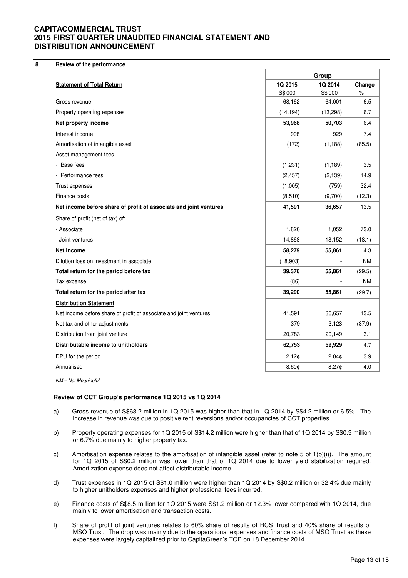**8 Review of the performance**

|                                                                   | Group     |                   |           |
|-------------------------------------------------------------------|-----------|-------------------|-----------|
| <b>Statement of Total Return</b>                                  | 1Q 2015   | 1Q 2014           | Change    |
|                                                                   | S\$'000   | S\$'000           | $\%$      |
| Gross revenue                                                     | 68,162    | 64,001            | 6.5       |
| Property operating expenses                                       | (14, 194) | (13,298)          | 6.7       |
| Net property income                                               | 53,968    | 50,703            | 6.4       |
| Interest income                                                   | 998       | 929               | 7.4       |
| Amortisation of intangible asset                                  | (172)     | (1, 188)          | (85.5)    |
| Asset management fees:                                            |           |                   |           |
| - Base fees                                                       | (1,231)   | (1, 189)          | 3.5       |
| - Performance fees                                                | (2, 457)  | (2, 139)          | 14.9      |
| Trust expenses                                                    | (1,005)   | (759)             | 32.4      |
| Finance costs                                                     | (8,510)   | (9,700)           | (12.3)    |
| Net income before share of profit of associate and joint ventures | 41,591    | 36,657            | 13.5      |
| Share of profit (net of tax) of:                                  |           |                   |           |
| - Associate                                                       | 1,820     | 1,052             | 73.0      |
| - Joint ventures                                                  | 14,868    | 18,152            | (18.1)    |
| Net income                                                        | 58,279    | 55,861            | 4.3       |
| Dilution loss on investment in associate                          | (18,903)  |                   | <b>NM</b> |
| Total return for the period before tax                            | 39,376    | 55,861            | (29.5)    |
| Tax expense                                                       | (86)      |                   | <b>NM</b> |
| Total return for the period after tax                             | 39,290    | 55,861            | (29.7)    |
| <b>Distribution Statement</b>                                     |           |                   |           |
| Net income before share of profit of associate and joint ventures | 41,591    | 36,657            | 13.5      |
| Net tax and other adjustments                                     | 379       | 3,123             | (87.9)    |
| Distribution from joint venture                                   | 20,783    | 20,149            | 3.1       |
| Distributable income to unitholders                               | 62,753    | 59,929            | 4.7       |
| DPU for the period                                                | 2.12¢     | 2.04 <sub>¢</sub> | 3.9       |
| Annualised                                                        | 8.60¢     | $8.27$ ¢          | 4.0       |
| NM – Not Meaningful                                               |           |                   |           |

**Review of CCT Group's performance 1Q 2015 vs 1Q 2014** 

- a) Gross revenue of S\$68.2 million in 1Q 2015 was higher than that in 1Q 2014 by S\$4.2 million or 6.5%. The increase in revenue was due to positive rent reversions and/or occupancies of CCT properties.
- b) Property operating expenses for 1Q 2015 of S\$14.2 million were higher than that of 1Q 2014 by S\$0.9 million or 6.7% due mainly to higher property tax.
- c) Amortisation expense relates to the amortisation of intangible asset (refer to note 5 of  $1(b)(i)$ ). The amount for 1Q 2015 of S\$0.2 million was lower than that of 1Q 2014 due to lower yield stabilization required. Amortization expense does not affect distributable income.
- d) Trust expenses in 1Q 2015 of S\$1.0 million were higher than 1Q 2014 by S\$0.2 million or 32.4% due mainly to higher unitholders expenses and higher professional fees incurred.
- e) Finance costs of S\$8.5 million for 1Q 2015 were S\$1.2 million or 12.3% lower compared with 1Q 2014, due mainly to lower amortisation and transaction costs.
- f) Share of profit of joint ventures relates to 60% share of results of RCS Trust and 40% share of results of MSO Trust. The drop was mainly due to the operational expenses and finance costs of MSO Trust as these expenses were largely capitalized prior to CapitaGreen's TOP on 18 December 2014.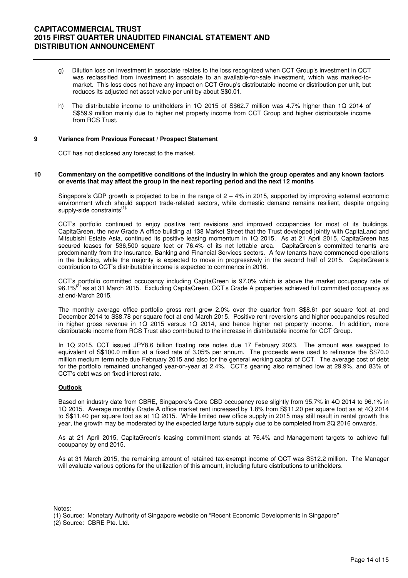- g) Dilution loss on investment in associate relates to the loss recognized when CCT Group's investment in QCT was reclassified from investment in associate to an available-for-sale investment, which was marked-tomarket. This loss does not have any impact on CCT Group's distributable income or distribution per unit, but reduces its adjusted net asset value per unit by about S\$0.01.
- The distributable income to unitholders in 1Q 2015 of S\$62.7 million was 4.7% higher than 1Q 2014 of S\$59.9 million mainly due to higher net property income from CCT Group and higher distributable income from RCS Trust.

#### **9 Variance from Previous Forecast / Prospect Statement**

CCT has not disclosed any forecast to the market.

#### **10 Commentary on the competitive conditions of the industry in which the group operates and any known factors or events that may affect the group in the next reporting period and the next 12 months**

Singapore's GDP growth is projected to be in the range of  $2 - 4\%$  in 2015, supported by improving external economic environment which should support trade-related sectors, while domestic demand remains resilient, despite ongoing supply-side constraints<sup>(1).</sup>

 CCT's portfolio continued to enjoy positive rent revisions and improved occupancies for most of its buildings. CapitaGreen, the new Grade A office building at 138 Market Street that the Trust developed jointly with CapitaLand and Mitsubishi Estate Asia, continued its positive leasing momentum in 1Q 2015. As at 21 April 2015, CapitaGreen has secured leases for 536,500 square feet or 76.4% of its net lettable area. CapitaGreen's committed tenants are predominantly from the Insurance, Banking and Financial Services sectors. A few tenants have commenced operations in the building, while the majority is expected to move in progressively in the second half of 2015. CapitaGreen's contribution to CCT's distributable income is expected to commence in 2016.

 CCT's portfolio committed occupancy including CapitaGreen is 97.0% which is above the market occupancy rate of 96.1%<sup>(2)</sup> as at 31 March 2015. Excluding CapitaGreen, CCT's Grade A properties achieved full committed occupancy as at end-March 2015.

 The monthly average office portfolio gross rent grew 2.0% over the quarter from S\$8.61 per square foot at end December 2014 to S\$8.78 per square foot at end March 2015. Positive rent reversions and higher occupancies resulted in higher gross revenue in 1Q 2015 versus 1Q 2014, and hence higher net property income. In addition, more distributable income from RCS Trust also contributed to the increase in distributable income for CCT Group.

 In 1Q 2015, CCT issued JPY8.6 billion floating rate notes due 17 February 2023. The amount was swapped to equivalent of S\$100.0 million at a fixed rate of 3.05% per annum. The proceeds were used to refinance the S\$70.0 million medium term note due February 2015 and also for the general working capital of CCT. The average cost of debt for the portfolio remained unchanged year-on-year at 2.4%. CCT's gearing also remained low at 29.9%, and 83% of CCT's debt was on fixed interest rate.

#### **Outlook**

Based on industry date from CBRE, Singapore's Core CBD occupancy rose slightly from 95.7% in 4Q 2014 to 96.1% in 1Q 2015. Average monthly Grade A office market rent increased by 1.8% from S\$11.20 per square foot as at 4Q 2014 to S\$11.40 per square foot as at 1Q 2015. While limited new office supply in 2015 may still result in rental growth this year, the growth may be moderated by the expected large future supply due to be completed from 2Q 2016 onwards.

As at 21 April 2015, CapitaGreen's leasing commitment stands at 76.4% and Management targets to achieve full occupancy by end 2015.

As at 31 March 2015, the remaining amount of retained tax-exempt income of QCT was S\$12.2 million. The Manager will evaluate various options for the utilization of this amount, including future distributions to unitholders.

Notes:

(2) Source: CBRE Pte. Ltd.

<sup>(1)</sup> Source: Monetary Authority of Singapore website on "Recent Economic Developments in Singapore"